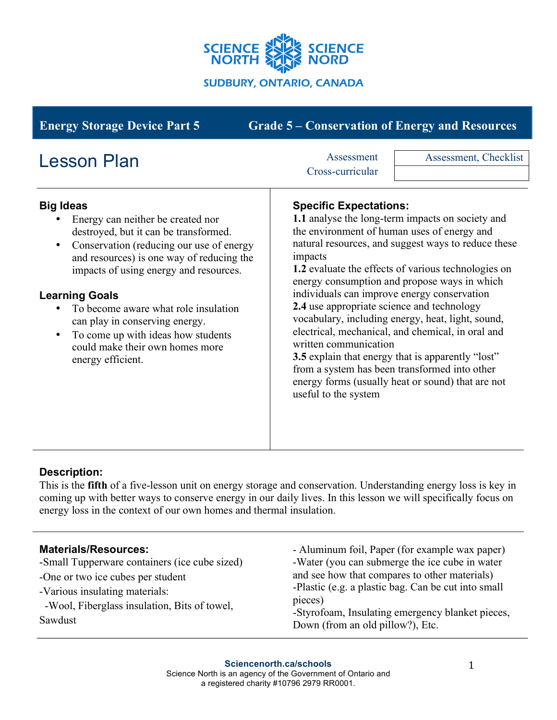

| <b>Grade 5 – Conservation of Energy and Resources</b><br><b>Energy Storage Device Part 5</b>                                                                                                                                                                                                                                                                                                                                                                                       |                                                                                                                                                                                                                                                                                                                                                                                                                                                                                                                                                                                                                                                                                                                                                                        |  |
|------------------------------------------------------------------------------------------------------------------------------------------------------------------------------------------------------------------------------------------------------------------------------------------------------------------------------------------------------------------------------------------------------------------------------------------------------------------------------------|------------------------------------------------------------------------------------------------------------------------------------------------------------------------------------------------------------------------------------------------------------------------------------------------------------------------------------------------------------------------------------------------------------------------------------------------------------------------------------------------------------------------------------------------------------------------------------------------------------------------------------------------------------------------------------------------------------------------------------------------------------------------|--|
| <b>Lesson Plan</b><br><b>Big Ideas</b><br>Energy can neither be created nor<br>destroyed, but it can be transformed.<br>Conservation (reducing our use of energy<br>$\bullet$<br>and resources) is one way of reducing the<br>impacts of using energy and resources.<br><b>Learning Goals</b><br>To become aware what role insulation<br>can play in conserving energy.<br>To come up with ideas how students<br>$\bullet$<br>could make their own homes more<br>energy efficient. | Assessment<br>Assessment, Checklist<br>Cross-curricular<br><b>Specific Expectations:</b><br>1.1 analyse the long-term impacts on society and<br>the environment of human uses of energy and<br>natural resources, and suggest ways to reduce these<br>impacts<br>1.2 evaluate the effects of various technologies on<br>energy consumption and propose ways in which<br>individuals can improve energy conservation<br>2.4 use appropriate science and technology<br>vocabulary, including energy, heat, light, sound,<br>electrical, mechanical, and chemical, in oral and<br>written communication<br><b>3.5</b> explain that energy that is apparently "lost"<br>from a system has been transformed into other<br>energy forms (usually heat or sound) that are not |  |
|                                                                                                                                                                                                                                                                                                                                                                                                                                                                                    | useful to the system                                                                                                                                                                                                                                                                                                                                                                                                                                                                                                                                                                                                                                                                                                                                                   |  |

# **Description:**

This is the **fifth** of a five-lesson unit on energy storage and conservation. Understanding energy loss is key in coming up with better ways to conserve energy in our daily lives. In this lesson we will specifically focus on energy loss in the context of our own homes and thermal insulation.

### **Materials/Resources:**

-Small Tupperware containers (ice cube sized)

-One or two ice cubes per student

-Various insulating materials:

 -Wool, Fiberglass insulation, Bits of towel, Sawdust

- Aluminum foil, Paper (for example wax paper) -Water (you can submerge the ice cube in water and see how that compares to other materials) -Plastic (e.g. a plastic bag. Can be cut into small pieces)

-Styrofoam, Insulating emergency blanket pieces, Down (from an old pillow?), Etc.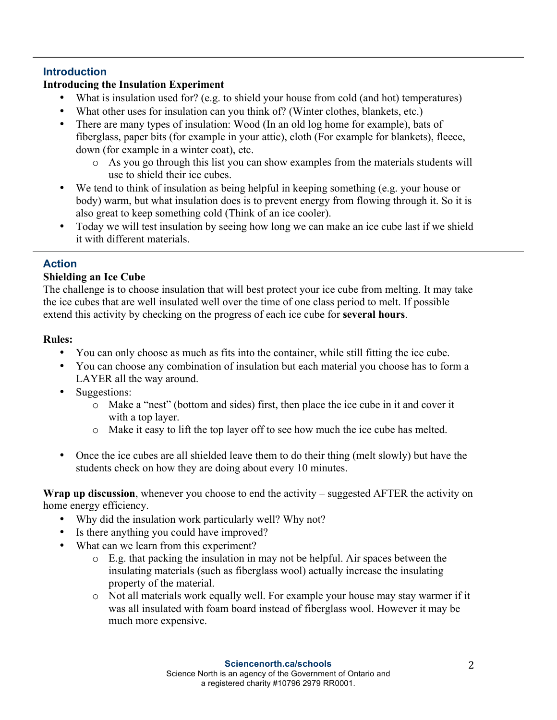# **Introduction**

# **Introducing the Insulation Experiment**

- What is insulation used for? (e.g. to shield your house from cold (and hot) temperatures)
- What other uses for insulation can you think of? (Winter clothes, blankets, etc.)
- There are many types of insulation: Wood (In an old log home for example), bats of fiberglass, paper bits (for example in your attic), cloth (For example for blankets), fleece, down (for example in a winter coat), etc.
	- o As you go through this list you can show examples from the materials students will use to shield their ice cubes.
- We tend to think of insulation as being helpful in keeping something (e.g. your house or body) warm, but what insulation does is to prevent energy from flowing through it. So it is also great to keep something cold (Think of an ice cooler).
- Today we will test insulation by seeing how long we can make an ice cube last if we shield it with different materials.

# **Action**

## **Shielding an Ice Cube**

The challenge is to choose insulation that will best protect your ice cube from melting. It may take the ice cubes that are well insulated well over the time of one class period to melt. If possible extend this activity by checking on the progress of each ice cube for **several hours**.

## **Rules:**

- You can only choose as much as fits into the container, while still fitting the ice cube.
- You can choose any combination of insulation but each material you choose has to form a LAYER all the way around.
- Suggestions:
	- o Make a "nest" (bottom and sides) first, then place the ice cube in it and cover it with a top layer.
	- o Make it easy to lift the top layer off to see how much the ice cube has melted.
- Once the ice cubes are all shielded leave them to do their thing (melt slowly) but have the students check on how they are doing about every 10 minutes.

**Wrap up discussion**, whenever you choose to end the activity – suggested AFTER the activity on home energy efficiency.

- Why did the insulation work particularly well? Why not?
- Is there anything you could have improved?
- What can we learn from this experiment?
	- o E.g. that packing the insulation in may not be helpful. Air spaces between the insulating materials (such as fiberglass wool) actually increase the insulating property of the material.
	- o Not all materials work equally well. For example your house may stay warmer if it was all insulated with foam board instead of fiberglass wool. However it may be much more expensive.